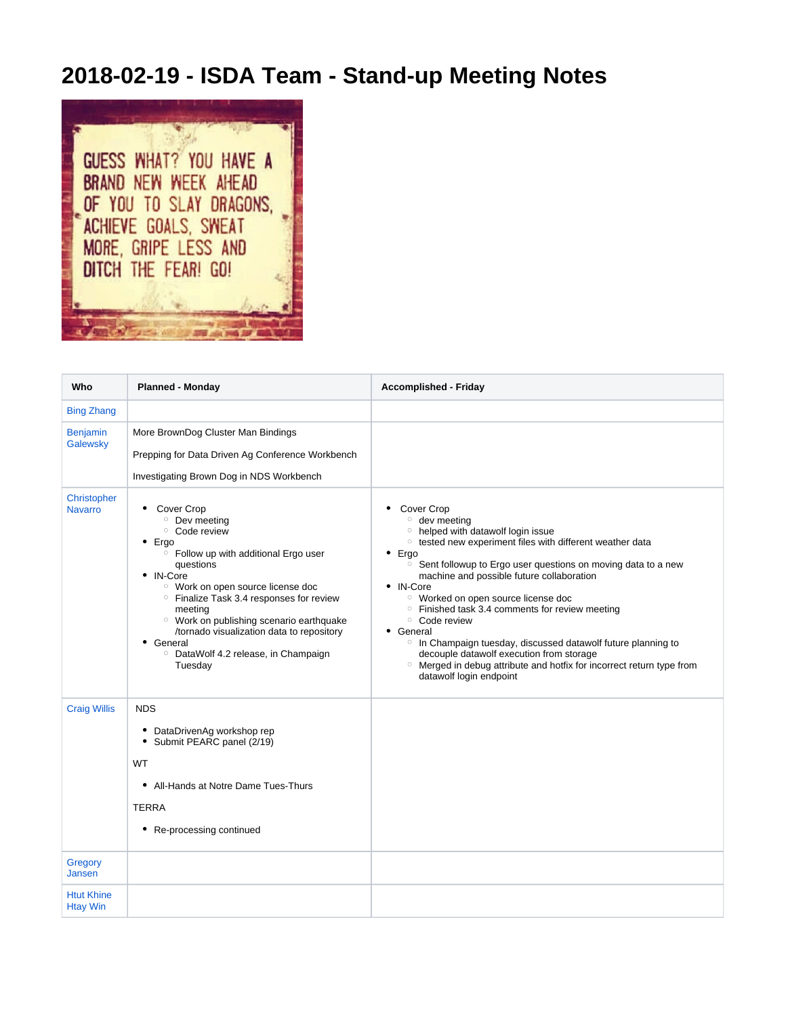## **2018-02-19 - ISDA Team - Stand-up Meeting Notes**



| Who                                  | <b>Planned - Monday</b>                                                                                                                                                                                                                                                                                                                                                                                                                                              | <b>Accomplished - Friday</b>                                                                                                                                                                                                                                                                                                                                                                                                                                                                                                                                                                                                                                                                                       |
|--------------------------------------|----------------------------------------------------------------------------------------------------------------------------------------------------------------------------------------------------------------------------------------------------------------------------------------------------------------------------------------------------------------------------------------------------------------------------------------------------------------------|--------------------------------------------------------------------------------------------------------------------------------------------------------------------------------------------------------------------------------------------------------------------------------------------------------------------------------------------------------------------------------------------------------------------------------------------------------------------------------------------------------------------------------------------------------------------------------------------------------------------------------------------------------------------------------------------------------------------|
| <b>Bing Zhang</b>                    |                                                                                                                                                                                                                                                                                                                                                                                                                                                                      |                                                                                                                                                                                                                                                                                                                                                                                                                                                                                                                                                                                                                                                                                                                    |
| <b>Benjamin</b><br>Galewsky          | More BrownDog Cluster Man Bindings<br>Prepping for Data Driven Ag Conference Workbench<br>Investigating Brown Dog in NDS Workbench                                                                                                                                                                                                                                                                                                                                   |                                                                                                                                                                                                                                                                                                                                                                                                                                                                                                                                                                                                                                                                                                                    |
| Christopher<br><b>Navarro</b>        | ٠<br>Cover Crop<br><b>O</b> Dev meeting<br><sup>o</sup> Code review<br>$\bullet$ Ergo<br><sup>o</sup> Follow up with additional Ergo user<br>questions<br>• IN-Core<br><sup>o</sup> Work on open source license doc<br><sup>o</sup> Finalize Task 3.4 responses for review<br>meeting<br><sup>o</sup> Work on publishing scenario earthquake<br>/tornado visualization data to repository<br>• General<br><sup>o</sup> DataWolf 4.2 release, in Champaign<br>Tuesday | ٠<br>Cover Crop<br>o dev meeting<br><sup>o</sup> helped with datawolf login issue<br><sup>o</sup> tested new experiment files with different weather data<br>$\bullet$ Ergo<br><sup>o</sup> Sent followup to Ergo user questions on moving data to a new<br>machine and possible future collaboration<br>• IN-Core<br><sup>o</sup> Worked on open source license doc<br><sup>o</sup> Finished task 3.4 comments for review meeting<br><sup>o</sup> Code review<br>• General<br><sup>o</sup> In Champaign tuesday, discussed datawolf future planning to<br>decouple datawolf execution from storage<br><sup>o</sup> Merged in debug attribute and hotfix for incorrect return type from<br>datawolf login endpoint |
| <b>Craig Willis</b>                  | <b>NDS</b><br>• DataDrivenAg workshop rep<br>• Submit PEARC panel (2/19)<br><b>WT</b><br>• All-Hands at Notre Dame Tues-Thurs<br><b>TERRA</b><br>• Re-processing continued                                                                                                                                                                                                                                                                                           |                                                                                                                                                                                                                                                                                                                                                                                                                                                                                                                                                                                                                                                                                                                    |
| Gregory<br><b>Jansen</b>             |                                                                                                                                                                                                                                                                                                                                                                                                                                                                      |                                                                                                                                                                                                                                                                                                                                                                                                                                                                                                                                                                                                                                                                                                                    |
| <b>Htut Khine</b><br><b>Htay Win</b> |                                                                                                                                                                                                                                                                                                                                                                                                                                                                      |                                                                                                                                                                                                                                                                                                                                                                                                                                                                                                                                                                                                                                                                                                                    |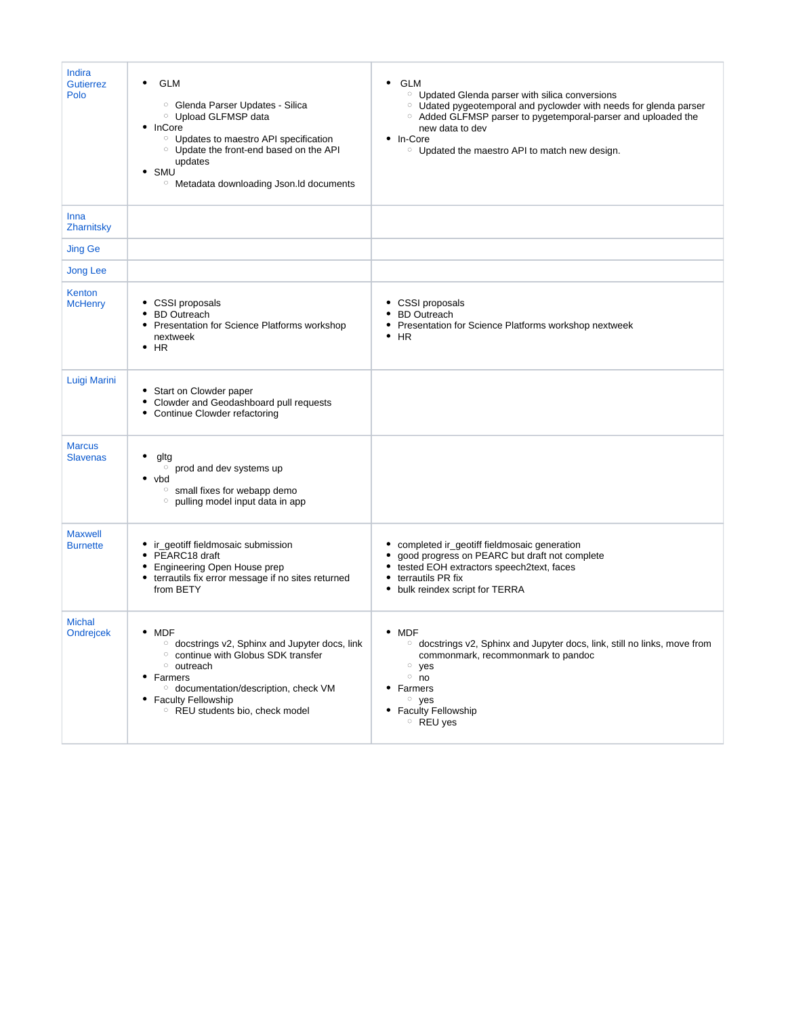| Indira<br><b>Gutierrez</b><br>Polo | ٠<br><b>GLM</b><br><sup>o</sup> Glenda Parser Updates - Silica<br><sup>o</sup> Upload GLFMSP data<br>• InCore<br><sup>o</sup> Updates to maestro API specification<br><sup>o</sup> Update the front-end based on the API<br>updates<br>$\bullet$ SMU<br><sup>o</sup> Metadata downloading Json.Id documents | $\bullet$<br>GLM<br><sup>o</sup> Updated Glenda parser with silica conversions<br><sup>o</sup> Udated pygeotemporal and pyclowder with needs for glenda parser<br><sup>o</sup> Added GLFMSP parser to pygetemporal-parser and uploaded the<br>new data to dev<br>• In-Core<br><sup>o</sup> Updated the maestro API to match new design. |
|------------------------------------|-------------------------------------------------------------------------------------------------------------------------------------------------------------------------------------------------------------------------------------------------------------------------------------------------------------|-----------------------------------------------------------------------------------------------------------------------------------------------------------------------------------------------------------------------------------------------------------------------------------------------------------------------------------------|
| Inna<br>Zharnitsky                 |                                                                                                                                                                                                                                                                                                             |                                                                                                                                                                                                                                                                                                                                         |
| <b>Jing Ge</b>                     |                                                                                                                                                                                                                                                                                                             |                                                                                                                                                                                                                                                                                                                                         |
| Jong Lee                           |                                                                                                                                                                                                                                                                                                             |                                                                                                                                                                                                                                                                                                                                         |
| Kenton<br><b>McHenry</b>           | • CSSI proposals<br>• BD Outreach<br>• Presentation for Science Platforms workshop<br>nextweek<br>$·$ HR                                                                                                                                                                                                    | • CSSI proposals<br>• BD Outreach<br>• Presentation for Science Platforms workshop nextweek<br>$\cdot$ HR                                                                                                                                                                                                                               |
| Luigi Marini                       | • Start on Clowder paper<br>• Clowder and Geodashboard pull requests<br>• Continue Clowder refactoring                                                                                                                                                                                                      |                                                                                                                                                                                                                                                                                                                                         |
| <b>Marcus</b><br><b>Slavenas</b>   | ٠<br>gltg<br>prod and dev systems up<br>٠<br>vbd<br><sup>o</sup> small fixes for webapp demo<br>pulling model input data in app<br>$\circ$                                                                                                                                                                  |                                                                                                                                                                                                                                                                                                                                         |
| <b>Maxwell</b><br><b>Burnette</b>  | • ir_geotiff fieldmosaic submission<br>• PEARC18 draft<br>• Engineering Open House prep<br>• terrautils fix error message if no sites returned<br>from BETY                                                                                                                                                 | • completed ir_geotiff fieldmosaic generation<br>good progress on PEARC but draft not complete<br>tested EOH extractors speech2text, faces<br>٠<br>terrautils PR fix<br>٠<br>bulk reindex script for TERRA                                                                                                                              |
| <b>Michal</b><br><b>Ondrejcek</b>  | $\bullet$ MDF<br><sup>o</sup> docstrings v2, Sphinx and Jupyter docs, link<br><sup>o</sup> continue with Globus SDK transfer<br><sup>o</sup> outreach<br>• Farmers<br><sup>o</sup> documentation/description, check VM<br>• Faculty Fellowship<br><sup>o</sup> REU students bio, check model                | $•$ MDF<br>docstrings v2, Sphinx and Jupyter docs, link, still no links, move from<br>$\circ$<br>commonmark, recommonmark to pandoc<br>$\circ$ yes<br>$^{\circ}$ no<br>• Farmers<br>$\circ$ yes<br>• Faculty Fellowship<br>$\circ$ REU yes                                                                                              |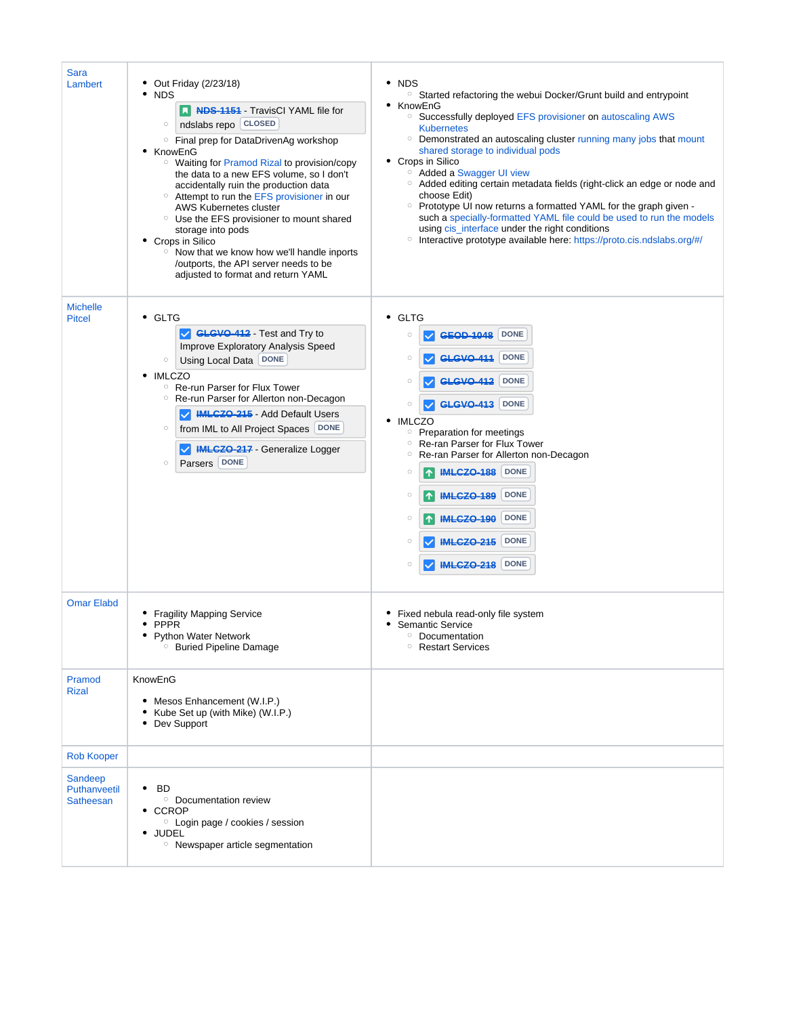| <b>Sara</b><br>Lambert                      | • Out Friday (2/23/18)<br>$\cdot$ NDS<br><b>A NDS-1151</b> - TravisCI YAML file for<br>ndslabs repo CLOSED<br>$\circ$<br><sup>o</sup> Final prep for DataDrivenAg workshop<br>• KnowEnG<br><sup>o</sup> Waiting for Pramod Rizal to provision/copy<br>the data to a new EFS volume, so I don't<br>accidentally ruin the production data<br><sup>o</sup> Attempt to run the EFS provisioner in our<br>AWS Kubernetes cluster<br><sup>o</sup> Use the EFS provisioner to mount shared<br>storage into pods<br>• Crops in Silico<br><sup>o</sup> Now that we know how we'll handle inports<br>/outports, the API server needs to be<br>adjusted to format and return YAML | $\cdot$ NDS<br><sup>o</sup> Started refactoring the webui Docker/Grunt build and entrypoint<br>• KnowEnG<br><sup>o</sup> Successfully deployed EFS provisioner on autoscaling AWS<br><b>Kubernetes</b><br><sup>o</sup> Demonstrated an autoscaling cluster running many jobs that mount<br>shared storage to individual pods<br>• Crops in Silico<br><sup>o</sup> Added a Swagger UI view<br>O Added editing certain metadata fields (right-click an edge or node and<br>choose Edit)<br>○ Prototype UI now returns a formatted YAML for the graph given -<br>such a specially-formatted YAML file could be used to run the models<br>using cis_interface under the right conditions<br><sup>o</sup> Interactive prototype available here: https://proto.cis.ndslabs.org/#/ |
|---------------------------------------------|------------------------------------------------------------------------------------------------------------------------------------------------------------------------------------------------------------------------------------------------------------------------------------------------------------------------------------------------------------------------------------------------------------------------------------------------------------------------------------------------------------------------------------------------------------------------------------------------------------------------------------------------------------------------|-----------------------------------------------------------------------------------------------------------------------------------------------------------------------------------------------------------------------------------------------------------------------------------------------------------------------------------------------------------------------------------------------------------------------------------------------------------------------------------------------------------------------------------------------------------------------------------------------------------------------------------------------------------------------------------------------------------------------------------------------------------------------------|
| <b>Michelle</b><br><b>Pitcel</b>            | • GLTG<br>GLGVO-412 - Test and Try to<br>Improve Exploratory Analysis Speed<br>Using Local Data DONE<br>$\circ$<br>• IMLCZO<br><sup>o</sup> Re-run Parser for Flux Tower<br><sup>o</sup> Re-run Parser for Allerton non-Decagon<br>MINIMILCZO 215 - Add Default Users<br>from IML to All Project Spaces DONE<br>$\circ$<br><b>IMLCZO-217</b> - Generalize Logger<br>Parsers DONE<br>$\circ$                                                                                                                                                                                                                                                                            | $\bullet$ GLTG<br><b>DONE</b><br>$\circ$<br><b>GEOD 1048</b><br><b>DONE</b><br>O<br>GLGVO-411<br><b>DONE</b><br>GLGVO-412<br>O<br>GLGVO-413 DONE<br>O<br>• IMLCZO<br>$\circ$<br>Preparation for meetings<br>Re-ran Parser for Flux Tower<br>$\circ$<br>Re-ran Parser for Allerton non-Decagon<br>$\circ$<br><b>IMLCZO-188</b> DONE<br>$\circ$<br>$ \bm{\uparrow} $<br><b>DONE</b><br>O<br><b>IMLCZO-189</b><br>$ \uparrow $<br><b>DONE</b><br><b>IMLCZO-190</b><br>O<br>$ \uparrow $<br><b>DONE</b><br><b>IMLCZO-215</b><br>O<br><b>DONE</b><br><b>IMLCZO-218</b><br>O                                                                                                                                                                                                      |
| <b>Omar Elabd</b>                           | <b>Fragility Mapping Service</b><br><b>PPPR</b><br>٠<br>• Python Water Network<br><b>Buried Pipeline Damage</b><br>$\circ$                                                                                                                                                                                                                                                                                                                                                                                                                                                                                                                                             | Fixed nebula read-only file system<br>Semantic Service<br><sup>o</sup> Documentation<br>$\circ$<br><b>Restart Services</b>                                                                                                                                                                                                                                                                                                                                                                                                                                                                                                                                                                                                                                                  |
| Pramod<br><b>Rizal</b>                      | KnowEnG<br>• Mesos Enhancement (W.I.P.)<br>• Kube Set up (with Mike) (W.I.P.)<br>• Dev Support                                                                                                                                                                                                                                                                                                                                                                                                                                                                                                                                                                         |                                                                                                                                                                                                                                                                                                                                                                                                                                                                                                                                                                                                                                                                                                                                                                             |
| <b>Rob Kooper</b>                           |                                                                                                                                                                                                                                                                                                                                                                                                                                                                                                                                                                                                                                                                        |                                                                                                                                                                                                                                                                                                                                                                                                                                                                                                                                                                                                                                                                                                                                                                             |
| Sandeep<br>Puthanveetil<br><b>Satheesan</b> | <b>BD</b><br>$\bullet$<br><sup>o</sup> Documentation review<br>$\cdot$ CCROP<br><sup>o</sup> Login page / cookies / session<br>· JUDEL<br><sup>o</sup> Newspaper article segmentation                                                                                                                                                                                                                                                                                                                                                                                                                                                                                  |                                                                                                                                                                                                                                                                                                                                                                                                                                                                                                                                                                                                                                                                                                                                                                             |